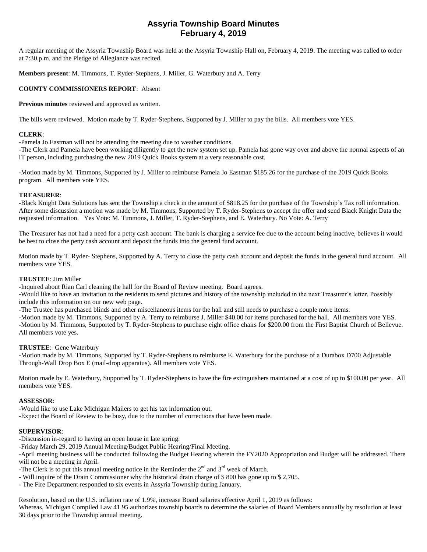# **Assyria Township Board Minutes February 4, 2019**

A regular meeting of the Assyria Township Board was held at the Assyria Township Hall on, February 4, 2019. The meeting was called to order at 7:30 p.m. and the Pledge of Allegiance was recited.

**Members present**: M. Timmons, T. Ryder-Stephens, J. Miller, G. Waterbury and A. Terry

# **COUNTY COMMISSIONERS REPORT**: Absent

**Previous minutes** reviewed and approved as written.

The bills were reviewed. Motion made by T. Ryder-Stephens, Supported by J. Miller to pay the bills. All members vote YES.

# **CLERK**:

-Pamela Jo Eastman will not be attending the meeting due to weather conditions.

-The Clerk and Pamela have been working diligently to get the new system set up. Pamela has gone way over and above the normal aspects of an IT person, including purchasing the new 2019 Quick Books system at a very reasonable cost.

-Motion made by M. Timmons, Supported by J. Miller to reimburse Pamela Jo Eastman \$185.26 for the purchase of the 2019 Quick Books program. All members vote YES.

# **TREASURER**:

-Black Knight Data Solutions has sent the Township a check in the amount of \$818.25 for the purchase of the Township's Tax roll information. After some discussion a motion was made by M. Timmons, Supported by T. Ryder-Stephens to accept the offer and send Black Knight Data the requested information. Yes Vote: M. Timmons, J. Miller, T. Ryder-Stephens, and E. Waterbury. No Vote: A. Terry

The Treasurer has not had a need for a petty cash account. The bank is charging a service fee due to the account being inactive, believes it would be best to close the petty cash account and deposit the funds into the general fund account.

Motion made by T. Ryder- Stephens, Supported by A. Terry to close the petty cash account and deposit the funds in the general fund account. All members vote YES.

# **TRUSTEE**: Jim Miller

-Inquired about Rian Carl cleaning the hall for the Board of Review meeting. Board agrees.

-Would like to have an invitation to the residents to send pictures and history of the township included in the next Treasurer's letter. Possibly include this information on our new web page.

-The Trustee has purchased blinds and other miscellaneous items for the hall and still needs to purchase a couple more items.

-Motion made by M. Timmons, Supported by A. Terry to reimburse J. Miller \$40.00 for items purchased for the hall. All members vote YES. -Motion by M. Timmons, Supported by T. Ryder-Stephens to purchase eight office chairs for \$200.00 from the First Baptist Church of Bellevue. All members vote yes.

# **TRUSTEE**: Gene Waterbury

-Motion made by M. Timmons, Supported by T. Ryder-Stephens to reimburse E. Waterbury for the purchase of a Durabox D700 Adjustable Through-Wall Drop Box E (mail-drop apparatus). All members vote YES.

Motion made by E. Waterbury, Supported by T. Ryder-Stephens to have the fire extinguishers maintained at a cost of up to \$100.00 per year. All members vote YES.

#### **ASSESSOR**:

-Would like to use Lake Michigan Mailers to get his tax information out.

-Expect the Board of Review to be busy, due to the number of corrections that have been made.

# **SUPERVISOR**:

-Discussion in-regard to having an open house in late spring.

-Friday March 29, 2019 Annual Meeting/Budget Public Hearing/Final Meeting.

-April meeting business will be conducted following the Budget Hearing wherein the FY2020 Appropriation and Budget will be addressed. There will not be a meeting in April.

-The Clerk is to put this annual meeting notice in the Reminder the  $2<sup>nd</sup>$  and  $3<sup>rd</sup>$  week of March.

- Will inquire of the Drain Commissioner why the historical drain charge of \$ 800 has gone up to \$ 2,705.
- The Fire Department responded to six events in Assyria Township during January.

Resolution, based on the U.S. inflation rate of 1.9%, increase Board salaries effective April 1, 2019 as follows: Whereas, Michigan Compiled Law 41.95 authorizes township boards to determine the salaries of Board Members annually by resolution at least 30 days prior to the Township annual meeting.